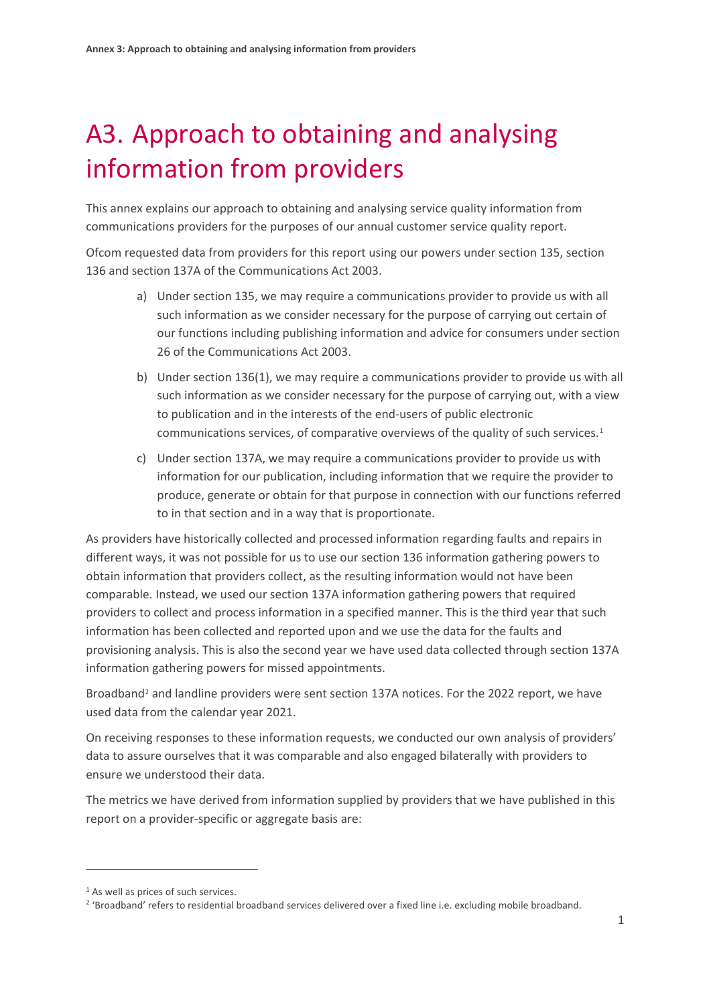# A3. Approach to obtaining and analysing information from providers

This annex explains our approach to obtaining and analysing service quality information from communications providers for the purposes of our annual customer service quality report.

Ofcom requested data from providers for this report using our powers under section 135, section 136 and section 137A of the Communications Act 2003.

- a) Under section 135, we may require a communications provider to provide us with all such information as we consider necessary for the purpose of carrying out certain of our functions including publishing information and advice for consumers under section 26 of the Communications Act 2003.
- b) Under section 136(1), we may require a communications provider to provide us with all such information as we consider necessary for the purpose of carrying out, with a view to publication and in the interests of the end-users of public electronic communications services, of comparative overviews of the quality of such services.[1](#page-0-0)
- c) Under section 137A, we may require a communications provider to provide us with information for our publication, including information that we require the provider to produce, generate or obtain for that purpose in connection with our functions referred to in that section and in a way that is proportionate.

As providers have historically collected and processed information regarding faults and repairs in different ways, it was not possible for us to use our section 136 information gathering powers to obtain information that providers collect, as the resulting information would not have been comparable. Instead, we used our section 137A information gathering powers that required providers to collect and process information in a specified manner. This is the third year that such information has been collected and reported upon and we use the data for the faults and provisioning analysis. This is also the second year we have used data collected through section 137A information gathering powers for missed appointments.

Broadband<sup>[2](#page-0-1)</sup> and landline providers were sent section 137A notices. For the 2022 report, we have used data from the calendar year 2021.

On receiving responses to these information requests, we conducted our own analysis of providers' data to assure ourselves that it was comparable and also engaged bilaterally with providers to ensure we understood their data.

The metrics we have derived from information supplied by providers that we have published in this report on a provider-specific or aggregate basis are:

<span id="page-0-0"></span><sup>&</sup>lt;sup>1</sup> As well as prices of such services.

<span id="page-0-1"></span><sup>&</sup>lt;sup>2</sup> 'Broadband' refers to residential broadband services delivered over a fixed line i.e. excluding mobile broadband.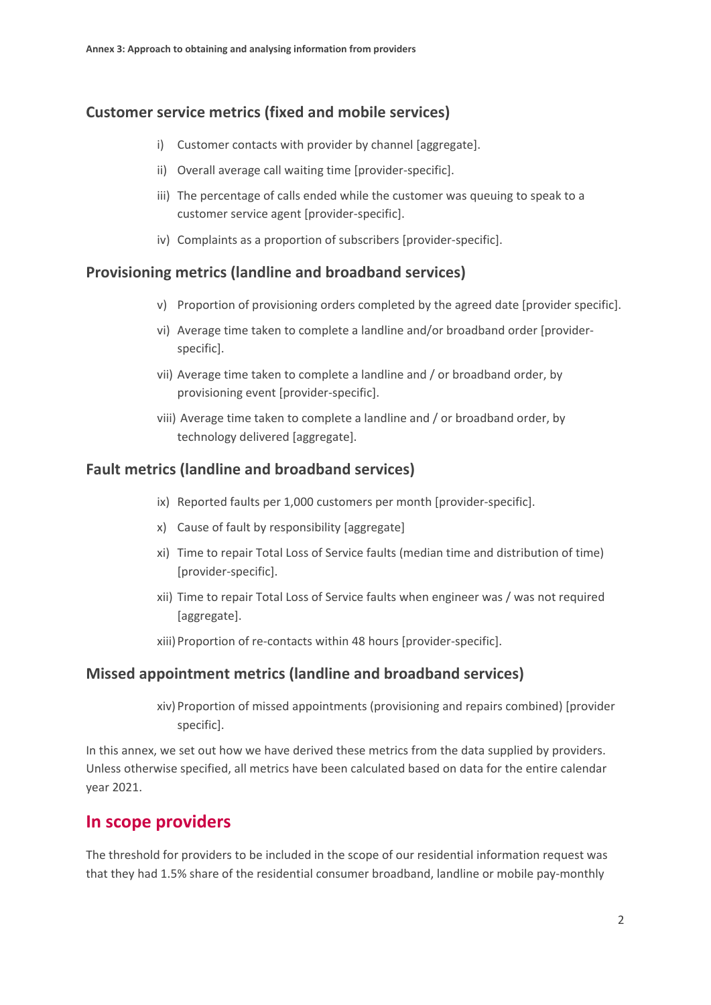#### **Customer service metrics (fixed and mobile services)**

- i) Customer contacts with provider by channel [aggregate].
- ii) Overall average call waiting time [provider-specific].
- iii) The percentage of calls ended while the customer was queuing to speak to a customer service agent [provider-specific].
- iv) Complaints as a proportion of subscribers [provider-specific].

#### **Provisioning metrics (landline and broadband services)**

- v) Proportion of provisioning orders completed by the agreed date [provider specific].
- vi) Average time taken to complete a landline and/or broadband order [providerspecific].
- vii) Average time taken to complete a landline and / or broadband order, by provisioning event [provider-specific].
- viii) Average time taken to complete a landline and / or broadband order, by technology delivered [aggregate].

#### **Fault metrics (landline and broadband services)**

- ix) Reported faults per 1,000 customers per month [provider-specific].
- x) Cause of fault by responsibility [aggregate]
- xi) Time to repair Total Loss of Service faults (median time and distribution of time) [provider-specific].
- xii) Time to repair Total Loss of Service faults when engineer was / was not required [aggregate].
- xiii)Proportion of re-contacts within 48 hours [provider-specific].

#### **Missed appointment metrics (landline and broadband services)**

xiv)Proportion of missed appointments (provisioning and repairs combined) [provider specific].

In this annex, we set out how we have derived these metrics from the data supplied by providers. Unless otherwise specified, all metrics have been calculated based on data for the entire calendar year 2021.

#### **In scope providers**

The threshold for providers to be included in the scope of our residential information request was that they had 1.5% share of the residential consumer broadband, landline or mobile pay-monthly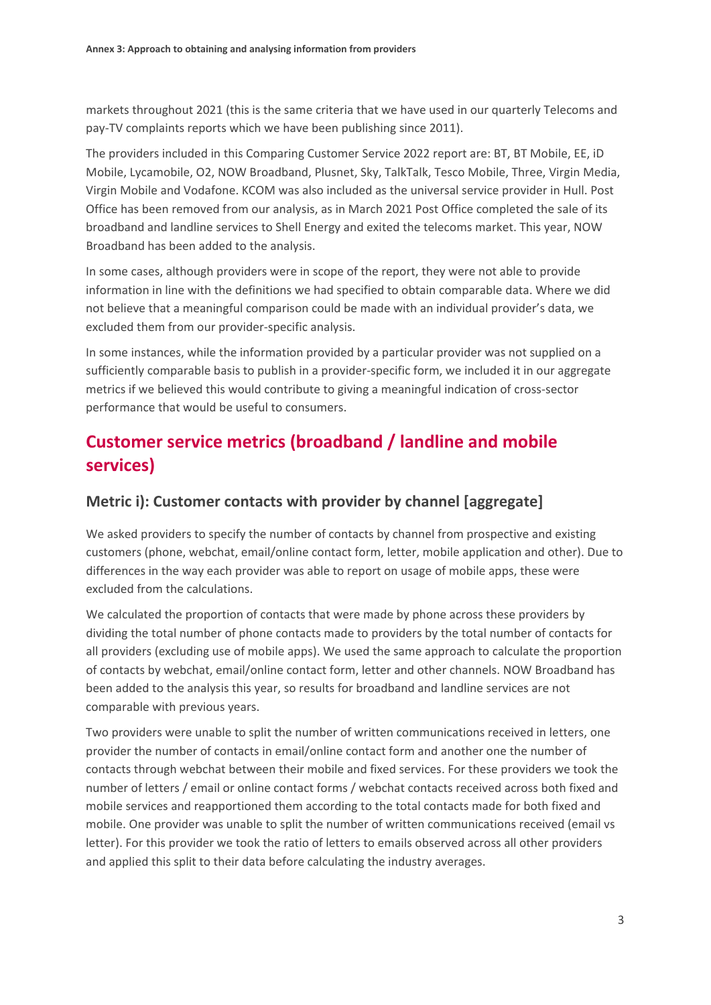markets throughout 2021 (this is the same criteria that we have used in our quarterly Telecoms and pay-TV complaints reports which we have been publishing since 2011).

The providers included in this Comparing Customer Service 2022 report are: BT, BT Mobile, EE, iD Mobile, Lycamobile, O2, NOW Broadband, Plusnet, Sky, TalkTalk, Tesco Mobile, Three, Virgin Media, Virgin Mobile and Vodafone. KCOM was also included as the universal service provider in Hull. Post Office has been removed from our analysis, as in March 2021 Post Office completed the sale of its broadband and landline services to Shell Energy and exited the telecoms market. This year, NOW Broadband has been added to the analysis.

In some cases, although providers were in scope of the report, they were not able to provide information in line with the definitions we had specified to obtain comparable data. Where we did not believe that a meaningful comparison could be made with an individual provider's data, we excluded them from our provider-specific analysis.

In some instances, while the information provided by a particular provider was not supplied on a sufficiently comparable basis to publish in a provider-specific form, we included it in our aggregate metrics if we believed this would contribute to giving a meaningful indication of cross-sector performance that would be useful to consumers.

## **Customer service metrics (broadband / landline and mobile services)**

#### **Metric i): Customer contacts with provider by channel [aggregate]**

We asked providers to specify the number of contacts by channel from prospective and existing customers (phone, webchat, email/online contact form, letter, mobile application and other). Due to differences in the way each provider was able to report on usage of mobile apps, these were excluded from the calculations.

We calculated the proportion of contacts that were made by phone across these providers by dividing the total number of phone contacts made to providers by the total number of contacts for all providers (excluding use of mobile apps). We used the same approach to calculate the proportion of contacts by webchat, email/online contact form, letter and other channels. NOW Broadband has been added to the analysis this year, so results for broadband and landline services are not comparable with previous years.

Two providers were unable to split the number of written communications received in letters, one provider the number of contacts in email/online contact form and another one the number of contacts through webchat between their mobile and fixed services. For these providers we took the number of letters / email or online contact forms / webchat contacts received across both fixed and mobile services and reapportioned them according to the total contacts made for both fixed and mobile. One provider was unable to split the number of written communications received (email vs letter). For this provider we took the ratio of letters to emails observed across all other providers and applied this split to their data before calculating the industry averages.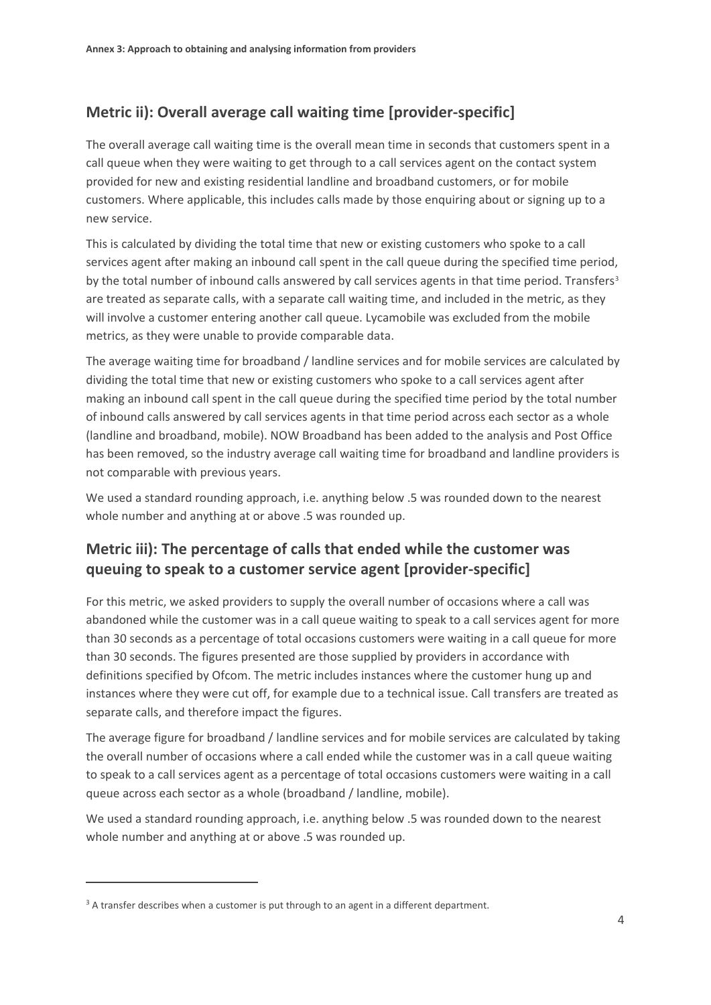## **Metric ii): Overall average call waiting time [provider-specific]**

The overall average call waiting time is the overall mean time in seconds that customers spent in a call queue when they were waiting to get through to a call services agent on the contact system provided for new and existing residential landline and broadband customers, or for mobile customers. Where applicable, this includes calls made by those enquiring about or signing up to a new service.

This is calculated by dividing the total time that new or existing customers who spoke to a call services agent after making an inbound call spent in the call queue during the specified time period, by the total number of inbound calls answered by call services agents in that time period. Transfers<sup>[3](#page-3-0)</sup> are treated as separate calls, with a separate call waiting time, and included in the metric, as they will involve a customer entering another call queue. Lycamobile was excluded from the mobile metrics, as they were unable to provide comparable data.

The average waiting time for broadband / landline services and for mobile services are calculated by dividing the total time that new or existing customers who spoke to a call services agent after making an inbound call spent in the call queue during the specified time period by the total number of inbound calls answered by call services agents in that time period across each sector as a whole (landline and broadband, mobile). NOW Broadband has been added to the analysis and Post Office has been removed, so the industry average call waiting time for broadband and landline providers is not comparable with previous years.

We used a standard rounding approach, i.e. anything below .5 was rounded down to the nearest whole number and anything at or above .5 was rounded up.

## **Metric iii): The percentage of calls that ended while the customer was queuing to speak to a customer service agent [provider-specific]**

For this metric, we asked providers to supply the overall number of occasions where a call was abandoned while the customer was in a call queue waiting to speak to a call services agent for more than 30 seconds as a percentage of total occasions customers were waiting in a call queue for more than 30 seconds. The figures presented are those supplied by providers in accordance with definitions specified by Ofcom. The metric includes instances where the customer hung up and instances where they were cut off, for example due to a technical issue. Call transfers are treated as separate calls, and therefore impact the figures.

The average figure for broadband / landline services and for mobile services are calculated by taking the overall number of occasions where a call ended while the customer was in a call queue waiting to speak to a call services agent as a percentage of total occasions customers were waiting in a call queue across each sector as a whole (broadband / landline, mobile).

We used a standard rounding approach, i.e. anything below .5 was rounded down to the nearest whole number and anything at or above .5 was rounded up.

<span id="page-3-0"></span> $3$  A transfer describes when a customer is put through to an agent in a different department.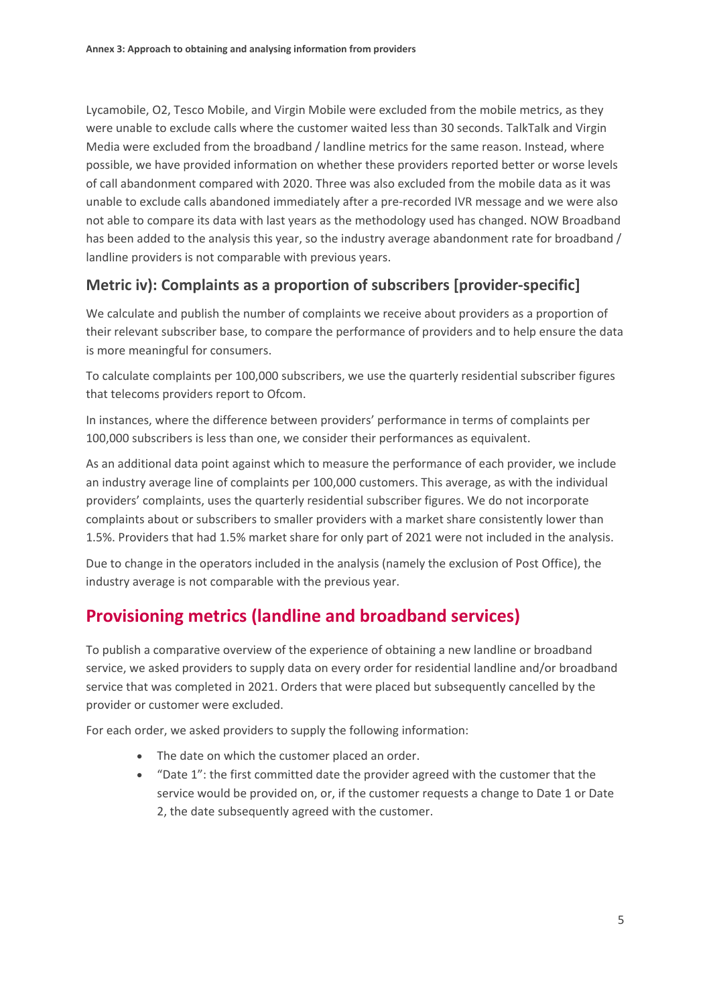Lycamobile, O2, Tesco Mobile, and Virgin Mobile were excluded from the mobile metrics, as they were unable to exclude calls where the customer waited less than 30 seconds. TalkTalk and Virgin Media were excluded from the broadband / landline metrics for the same reason. Instead, where possible, we have provided information on whether these providers reported better or worse levels of call abandonment compared with 2020. Three was also excluded from the mobile data as it was unable to exclude calls abandoned immediately after a pre-recorded IVR message and we were also not able to compare its data with last years as the methodology used has changed. NOW Broadband has been added to the analysis this year, so the industry average abandonment rate for broadband / landline providers is not comparable with previous years.

#### **Metric iv): Complaints as a proportion of subscribers [provider-specific]**

We calculate and publish the number of complaints we receive about providers as a proportion of their relevant subscriber base, to compare the performance of providers and to help ensure the data is more meaningful for consumers.

To calculate complaints per 100,000 subscribers, we use the quarterly residential subscriber figures that telecoms providers report to Ofcom.

In instances, where the difference between providers' performance in terms of complaints per 100,000 subscribers is less than one, we consider their performances as equivalent.

As an additional data point against which to measure the performance of each provider, we include an industry average line of complaints per 100,000 customers. This average, as with the individual providers' complaints, uses the quarterly residential subscriber figures. We do not incorporate complaints about or subscribers to smaller providers with a market share consistently lower than 1.5%. Providers that had 1.5% market share for only part of 2021 were not included in the analysis.

Due to change in the operators included in the analysis (namely the exclusion of Post Office), the industry average is not comparable with the previous year.

# **Provisioning metrics (landline and broadband services)**

To publish a comparative overview of the experience of obtaining a new landline or broadband service, we asked providers to supply data on every order for residential landline and/or broadband service that was completed in 2021. Orders that were placed but subsequently cancelled by the provider or customer were excluded.

For each order, we asked providers to supply the following information:

- The date on which the customer placed an order.
- "Date 1": the first committed date the provider agreed with the customer that the service would be provided on, or, if the customer requests a change to Date 1 or Date 2, the date subsequently agreed with the customer.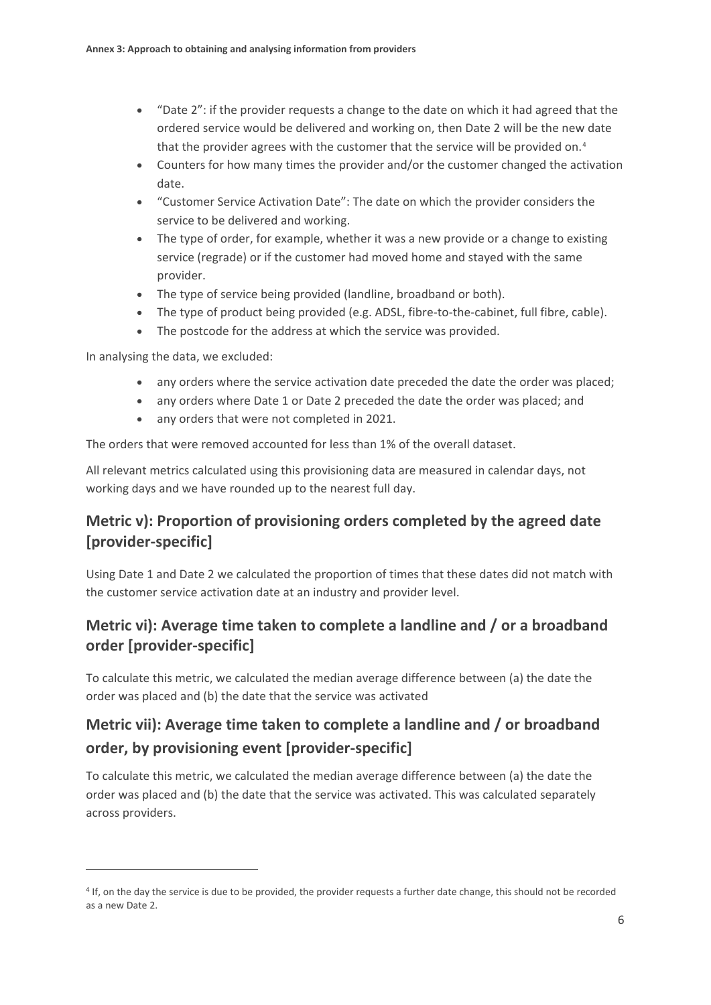- "Date 2": if the provider requests a change to the date on which it had agreed that the ordered service would be delivered and working on, then Date 2 will be the new date that the provider agrees with the customer that the service will be provided on.<sup>[4](#page-5-0)</sup>
- Counters for how many times the provider and/or the customer changed the activation date.
- "Customer Service Activation Date": The date on which the provider considers the service to be delivered and working.
- The type of order, for example, whether it was a new provide or a change to existing service (regrade) or if the customer had moved home and stayed with the same provider.
- The type of service being provided (landline, broadband or both).
- The type of product being provided (e.g. ADSL, fibre-to-the-cabinet, full fibre, cable).
- The postcode for the address at which the service was provided.

In analysing the data, we excluded:

- any orders where the service activation date preceded the date the order was placed;
- any orders where Date 1 or Date 2 preceded the date the order was placed; and
- any orders that were not completed in 2021.

The orders that were removed accounted for less than 1% of the overall dataset.

All relevant metrics calculated using this provisioning data are measured in calendar days, not working days and we have rounded up to the nearest full day.

## **Metric v): Proportion of provisioning orders completed by the agreed date [provider-specific]**

Using Date 1 and Date 2 we calculated the proportion of times that these dates did not match with the customer service activation date at an industry and provider level.

### **Metric vi): Average time taken to complete a landline and / or a broadband order [provider-specific]**

To calculate this metric, we calculated the median average difference between (a) the date the order was placed and (b) the date that the service was activated

# **Metric vii): Average time taken to complete a landline and / or broadband order, by provisioning event [provider-specific]**

To calculate this metric, we calculated the median average difference between (a) the date the order was placed and (b) the date that the service was activated. This was calculated separately across providers.

<span id="page-5-0"></span><sup>4</sup> If, on the day the service is due to be provided, the provider requests a further date change, this should not be recorded as a new Date 2.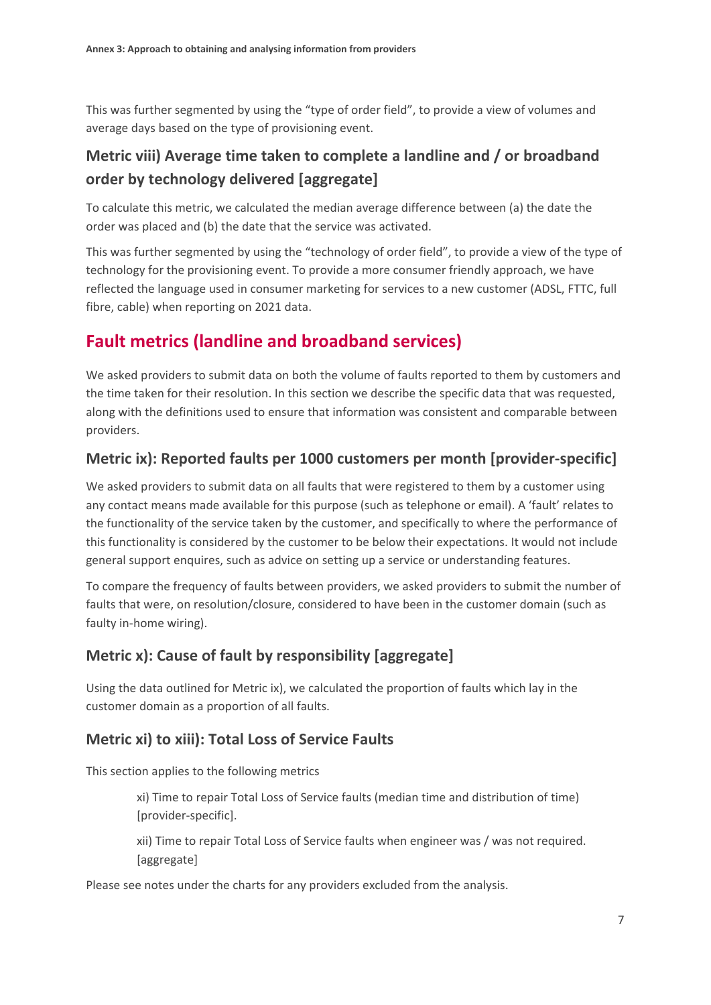This was further segmented by using the "type of order field", to provide a view of volumes and average days based on the type of provisioning event.

## **Metric viii) Average time taken to complete a landline and / or broadband order by technology delivered [aggregate]**

To calculate this metric, we calculated the median average difference between (a) the date the order was placed and (b) the date that the service was activated.

This was further segmented by using the "technology of order field", to provide a view of the type of technology for the provisioning event. To provide a more consumer friendly approach, we have reflected the language used in consumer marketing for services to a new customer (ADSL, FTTC, full fibre, cable) when reporting on 2021 data.

# **Fault metrics (landline and broadband services)**

We asked providers to submit data on both the volume of faults reported to them by customers and the time taken for their resolution. In this section we describe the specific data that was requested, along with the definitions used to ensure that information was consistent and comparable between providers.

### **Metric ix): Reported faults per 1000 customers per month [provider-specific]**

We asked providers to submit data on all faults that were registered to them by a customer using any contact means made available for this purpose (such as telephone or email). A 'fault' relates to the functionality of the service taken by the customer, and specifically to where the performance of this functionality is considered by the customer to be below their expectations. It would not include general support enquires, such as advice on setting up a service or understanding features.

To compare the frequency of faults between providers, we asked providers to submit the number of faults that were, on resolution/closure, considered to have been in the customer domain (such as faulty in-home wiring).

#### **Metric x): Cause of fault by responsibility [aggregate]**

Using the data outlined for Metric ix), we calculated the proportion of faults which lay in the customer domain as a proportion of all faults.

#### **Metric xi) to xiii): Total Loss of Service Faults**

This section applies to the following metrics

xi) Time to repair Total Loss of Service faults (median time and distribution of time) [provider-specific].

xii) Time to repair Total Loss of Service faults when engineer was / was not required. [aggregate]

Please see notes under the charts for any providers excluded from the analysis.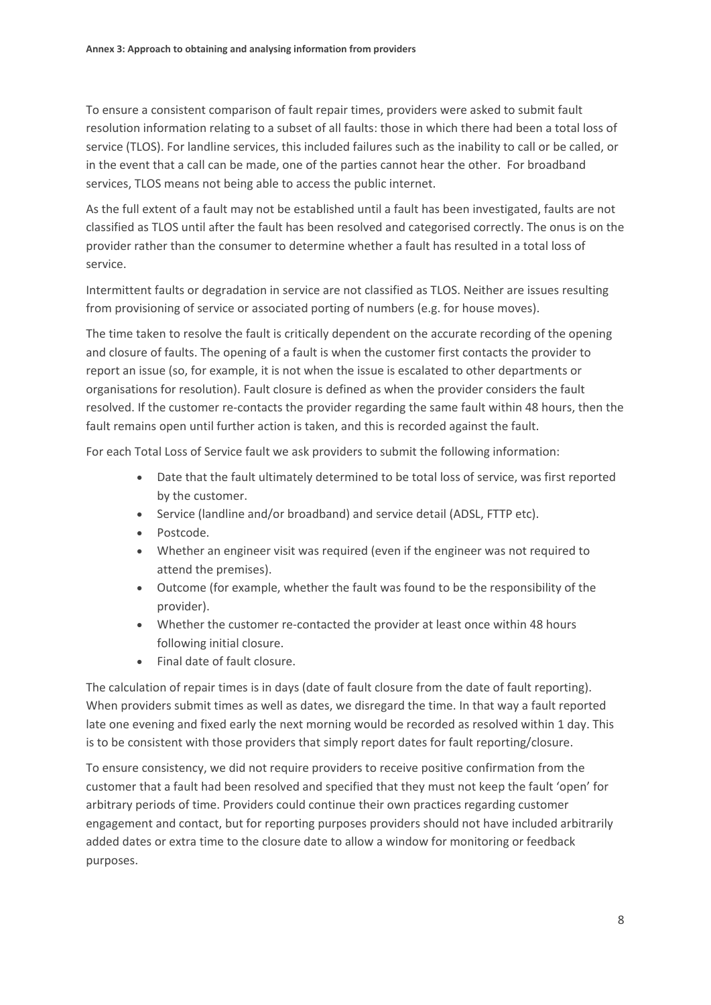To ensure a consistent comparison of fault repair times, providers were asked to submit fault resolution information relating to a subset of all faults: those in which there had been a total loss of service (TLOS). For landline services, this included failures such as the inability to call or be called, or in the event that a call can be made, one of the parties cannot hear the other. For broadband services, TLOS means not being able to access the public internet.

As the full extent of a fault may not be established until a fault has been investigated, faults are not classified as TLOS until after the fault has been resolved and categorised correctly. The onus is on the provider rather than the consumer to determine whether a fault has resulted in a total loss of service.

Intermittent faults or degradation in service are not classified as TLOS. Neither are issues resulting from provisioning of service or associated porting of numbers (e.g. for house moves).

The time taken to resolve the fault is critically dependent on the accurate recording of the opening and closure of faults. The opening of a fault is when the customer first contacts the provider to report an issue (so, for example, it is not when the issue is escalated to other departments or organisations for resolution). Fault closure is defined as when the provider considers the fault resolved. If the customer re-contacts the provider regarding the same fault within 48 hours, then the fault remains open until further action is taken, and this is recorded against the fault.

For each Total Loss of Service fault we ask providers to submit the following information:

- Date that the fault ultimately determined to be total loss of service, was first reported by the customer.
- Service (landline and/or broadband) and service detail (ADSL, FTTP etc).
- Postcode.
- Whether an engineer visit was required (even if the engineer was not required to attend the premises).
- Outcome (for example, whether the fault was found to be the responsibility of the provider).
- Whether the customer re-contacted the provider at least once within 48 hours following initial closure.
- Final date of fault closure.

The calculation of repair times is in days (date of fault closure from the date of fault reporting). When providers submit times as well as dates, we disregard the time. In that way a fault reported late one evening and fixed early the next morning would be recorded as resolved within 1 day. This is to be consistent with those providers that simply report dates for fault reporting/closure.

To ensure consistency, we did not require providers to receive positive confirmation from the customer that a fault had been resolved and specified that they must not keep the fault 'open' for arbitrary periods of time. Providers could continue their own practices regarding customer engagement and contact, but for reporting purposes providers should not have included arbitrarily added dates or extra time to the closure date to allow a window for monitoring or feedback purposes.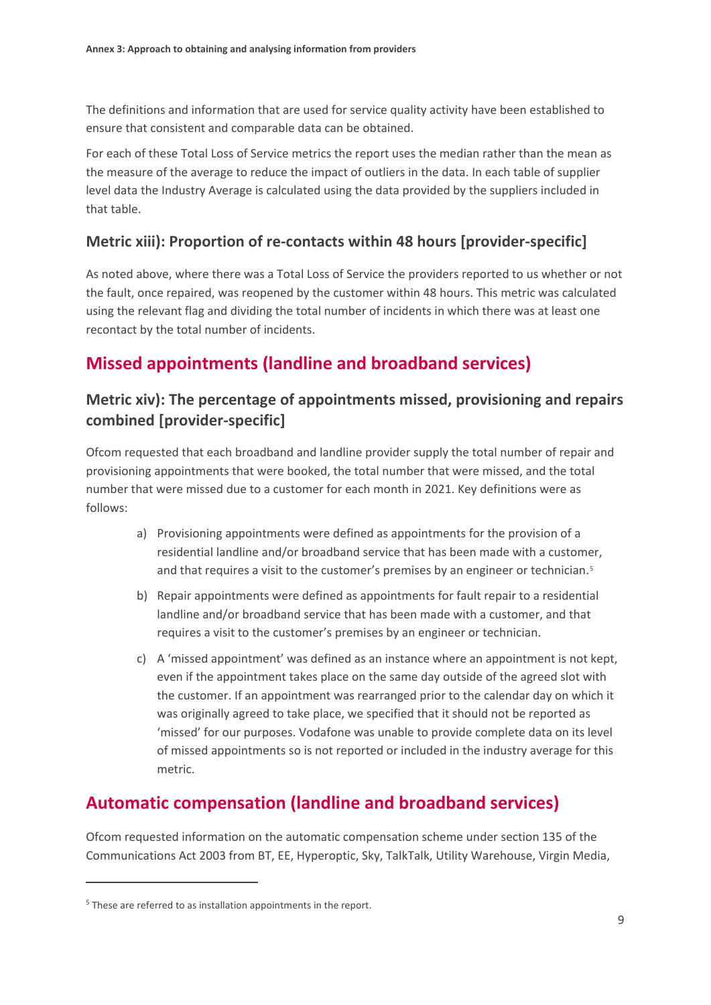The definitions and information that are used for service quality activity have been established to ensure that consistent and comparable data can be obtained.

For each of these Total Loss of Service metrics the report uses the median rather than the mean as the measure of the average to reduce the impact of outliers in the data. In each table of supplier level data the Industry Average is calculated using the data provided by the suppliers included in that table.

#### **Metric xiii): Proportion of re-contacts within 48 hours [provider-specific]**

As noted above, where there was a Total Loss of Service the providers reported to us whether or not the fault, once repaired, was reopened by the customer within 48 hours. This metric was calculated using the relevant flag and dividing the total number of incidents in which there was at least one recontact by the total number of incidents.

## **Missed appointments (landline and broadband services)**

#### **Metric xiv): The percentage of appointments missed, provisioning and repairs combined [provider-specific]**

Ofcom requested that each broadband and landline provider supply the total number of repair and provisioning appointments that were booked, the total number that were missed, and the total number that were missed due to a customer for each month in 2021. Key definitions were as follows:

- a) Provisioning appointments were defined as appointments for the provision of a residential landline and/or broadband service that has been made with a customer, and that requires a visit to the customer's premises by an engineer or technician.<sup>[5](#page-8-0)</sup>
- b) Repair appointments were defined as appointments for fault repair to a residential landline and/or broadband service that has been made with a customer, and that requires a visit to the customer's premises by an engineer or technician.
- c) A 'missed appointment' was defined as an instance where an appointment is not kept, even if the appointment takes place on the same day outside of the agreed slot with the customer. If an appointment was rearranged prior to the calendar day on which it was originally agreed to take place, we specified that it should not be reported as 'missed' for our purposes. Vodafone was unable to provide complete data on its level of missed appointments so is not reported or included in the industry average for this metric.

## **Automatic compensation (landline and broadband services)**

Ofcom requested information on the automatic compensation scheme under section 135 of the Communications Act 2003 from BT, EE, Hyperoptic, Sky, TalkTalk, Utility Warehouse, Virgin Media,

<span id="page-8-0"></span> $5$  These are referred to as installation appointments in the report.